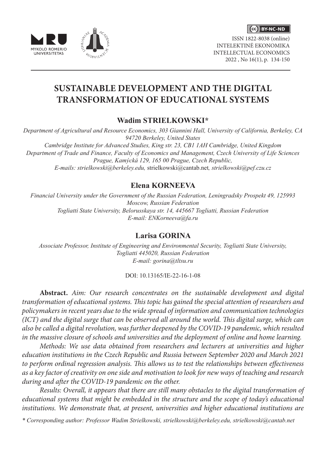

ISSN 1822-8038 (online) INTELEKTINĖ EKONOMIKA INTELLECTUAL ECONOMICS 2022 , No 16(1), p. 134-150



# **SUSTAINABLE DEVELOPMENT AND THE DIGITAL TRANSFORMATION OF EDUCATIONAL SYSTEMS**

# **Wadim STRIELKOWSKI\***

*Department of Agricultural and Resource Economics, 303 Giannini Hall, University of California, Berkeley, CA 94720 Berkeley, United States Cambridge Institute for Advanced Studies, King str. 23, CB1 1AH Cambridge, United Kingdom Department of Trade and Finance, Faculty of Economics and Management, Czech University of Life Sciences Prague, Kamýcká 129, 165 00 Prague, Czech Republic, E-mails: strielkowski@berkeley.edu,* strielkowski@cantab.net*, strielkowski@pef.czu.cz*

# **Elena KORNEEVA**

*Financial University under the Government of the Russian Federation, Leningradsky Prospekt 49, 125993 Moscow, Russian Federation Togliatti State University, Belorusskaya str. 14, 445667 Togliatti, Russian Federation E-mail: ENKorneeva@fa.ru*

## **Larisa GORINA**

*Associate Professor, Institute of Engineering and Environmental Security, Togliatti State University, Togliatti 445020, Russian Federation E-mail: gorina@tltsu.ru*

#### DOI: 10.13165/IE-22-16-1-08

**Abstract.** *Aim: Our research concentrates on the sustainable development and digital transformation of educational systems. This topic has gained the special attention of researchers and policymakers in recent years due to the wide spread of information and communication technologies (ICT) and the digital surge that can be observed all around the world. This digital surge, which can also be called a digital revolution, was further deepened by the COVID-19 pandemic, which resulted in the massive closure of schools and universities and the deployment of online and home learning.* 

*Methods: We use data obtained from researchers and lecturers at universities and higher education institutions in the Czech Republic and Russia between September 2020 and March 2021 to perform ordinal regression analysis. This allows us to test the relationships between effectiveness as a key factor of creativity on one side and motivation to look for new ways of teaching and research during and after the COVID-19 pandemic on the other.*

*Results: Overall, it appears that there are still many obstacles to the digital transformation of educational systems that might be embedded in the structure and the scope of today's educational institutions. We demonstrate that, at present, universities and higher educational institutions are* 

*\* Corresponding author: Professor Wadim Strielkowski, strielkowski@berkeley.edu, strielkowski@cantab.net*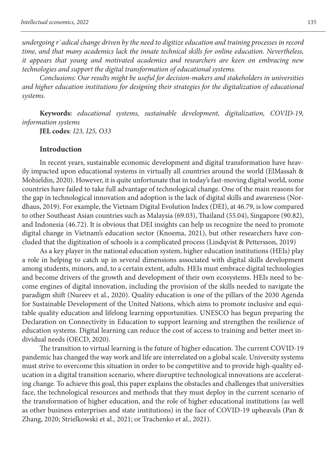*undergoing r`adical change driven by the need to digitize education and training processes in record time, and that many academics lack the innate technical skills for online education. Nevertheless, it appears that young and motivated academics and researchers are keen on embracing new technologies and support the digital transformation of educational systems.*

*Conclusions: Our results might be useful for decision-makers and stakeholders in universities and higher education institutions for designing their strategies for the digitalization of educational systems.*

**Keywords:** *educational systems, sustainable development, digitalization, COVID-19, information systems*

**JEL codes***: I23, I25, O33*

#### **Introduction**

In recent years, sustainable economic development and digital transformation have heavily impacted upon educational systems in virtually all countries around the world (ElMassah & Mohieldin, 2020). However, it is quite unfortunate that in today's fast-moving digital world, some countries have failed to take full advantage of technological change. One of the main reasons for the gap in technological innovation and adoption is the lack of digital skills and awareness (Nordhaus, 2019). For example, the Vietnam Digital Evolution Index (DEI), at 46.79, is low compared to other Southeast Asian countries such as Malaysia (69.03), Thailand (55.04), Singapore (90.82), and Indonesia (46.72). It is obvious that DEI insights can help us recognize the need to promote digital change in Vietnam's education sector (Knoema, 2021), but other researchers have concluded that the digitization of schools is a complicated process (Lindqvist & Pettersson, 2019)

As a key player in the national education system, higher education institutions (HEIs) play a role in helping to catch up in several dimensions associated with digital skills development among students, minors, and, to a certain extent, adults. HEIs must embrace digital technologies and become drivers of the growth and development of their own ecosystems. HEIs need to become engines of digital innovation, including the provision of the skills needed to navigate the paradigm shift (Nureev et al., 2020). Quality education is one of the pillars of the 2030 Agenda for Sustainable Development of the United Nations, which aims to promote inclusive and equitable quality education and lifelong learning opportunities. UNESCO has begun preparing the Declaration on Connectivity in Education to support learning and strengthen the resilience of education systems. Digital learning can reduce the cost of access to training and better meet individual needs (OECD, 2020).

The transition to virtual learning is the future of higher education. The current COVID-19 pandemic has changed the way work and life are interrelated on a global scale. University systems must strive to overcome this situation in order to be competitive and to provide high-quality education in a digital transition scenario, where disruptive technological innovations are accelerating change. To achieve this goal, this paper explains the obstacles and challenges that universities face, the technological resources and methods that they must deploy in the current scenario of the transformation of higher education, and the role of higher educational institutions (as well as other business enterprises and state institutions) in the face of COVID-19 upheavals (Pan & Zhang, 2020; Strielkowski et al., 2021; or Trachenko et al., 2021).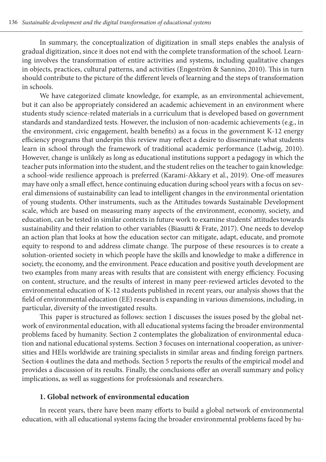In summary, the conceptualization of digitization in small steps enables the analysis of gradual digitization, since it does not end with the complete transformation of the school. Learning involves the transformation of entire activities and systems, including qualitative changes in objects, practices, cultural patterns, and activities (Engeström & Sannino, 2010). This in turn should contribute to the picture of the different levels of learning and the steps of transformation in schools.

We have categorized climate knowledge, for example, as an environmental achievement, but it can also be appropriately considered an academic achievement in an environment where students study science-related materials in a curriculum that is developed based on government standards and standardized tests. However, the inclusion of non-academic achievements (e.g., in the environment, civic engagement, health benefits) as a focus in the government K-12 energy efficiency programs that underpin this review may reflect a desire to disseminate what students learn in school through the framework of traditional academic performance (Ladwig, 2010). However, change is unlikely as long as educational institutions support a pedagogy in which the teacher puts information into the student, and the student relies on the teacher to gain knowledge: a school-wide resilience approach is preferred (Karami-Akkary et al., 2019). One-off measures may have only a small effect, hence continuing education during school years with a focus on several dimensions of sustainability can lead to intelligent changes in the environmental orientation of young students. Other instruments, such as the Attitudes towards Sustainable Development scale, which are based on measuring many aspects of the environment, economy, society, and education, can be tested in similar contexts in future work to examine students' attitudes towards sustainability and their relation to other variables (Biasutti & Frate, 2017). One needs to develop an action plan that looks at how the education sector can mitigate, adapt, educate, and promote equity to respond to and address climate change. The purpose of these resources is to create a solution-oriented society in which people have the skills and knowledge to make a difference in society, the economy, and the environment. Peace education and positive youth development are two examples from many areas with results that are consistent with energy efficiency. Focusing on content, structure, and the results of interest in many peer-reviewed articles devoted to the environmental education of K-12 students published in recent years, our analysis shows that the field of environmental education (EE) research is expanding in various dimensions, including, in particular, diversity of the investigated results.

This paper is structured as follows: section 1 discusses the issues posed by the global network of environmental education, with all educational systems facing the broader environmental problems faced by humanity. Section 2 contemplates the globalization of environmental education and national educational systems. Section 3 focuses on international cooperation, as universities and HEIs worldwide are training specialists in similar areas and finding foreign partners. Section 4 outlines the data and methods. Section 5 reports the results of the empirical model and provides a discussion of its results. Finally, the conclusions offer an overall summary and policy implications, as well as suggestions for professionals and researchers.

## **1. Global network of environmental education**

In recent years, there have been many efforts to build a global network of environmental education, with all educational systems facing the broader environmental problems faced by hu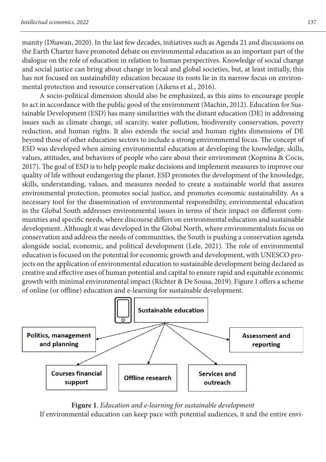manity (Dhawan, 2020). In the last few decades, initiatives such as Agenda 21 and discussions on the Earth Charter have promoted debate on environmental education as an important part of the dialogue on the role of education in relation to human perspectives. Knowledge of social change and social justice can bring about change in local and global societies, but, at least initially, this has not focused on sustainability education because its roots lie in its narrow focus on environmental protection and resource conservation (Aikens et al., 2016).

A socio-political dimension should also be emphasized, as this aims to encourage people to act in accordance with the public good of the environment (Machin, 2012). Education for Sustainable Development (ESD) has many similarities with the distant education (DE) in addressing issues such as climate change, oil scarcity, water pollution, biodiversity conservation, poverty reduction, and human rights. It also extends the social and human rights dimensions of DE beyond those of other education sectors to include a strong environmental focus. The concept of ESD was developed when aiming environmental education at developing the knowledge, skills, values, attitudes, and behaviors of people who care about their environment (Kopnina & Cocis, 2017). The goal of ESD is to help people make decisions and implement measures to improve our quality of life without endangering the planet. ESD promotes the development of the knowledge, skills, understanding, values, and measures needed to create a sustainable world that assures environmental protection, promotes social justice, and promotes economic sustainability. As a necessary tool for the dissemination of environmental responsibility, environmental education in the Global South addresses environmental issues in terms of their impact on different communities and specific needs, where discourse differs on environmental education and sustainable development. Although it was developed in the Global North, where environmentalists focus on conservation and address the needs of communities, the South is pushing a conservation agenda alongside social, economic, and political development (Lele, 2021). The role of environmental education is focused on the potential for economic growth and development, with UNESCO projects on the application of environmental education to sustainable development being declared as creative and effective uses of human potential and capital to ensure rapid and equitable economic growth with minimal environmental impact (Richter & De Sousa, 2019). Figure 1 offers a scheme of online (or offline) education and e-learning for sustainable development.



**Figure 1**. *Education and e-learning for sustainable development* If environmental education can keep pace with potential audiences, it and the entire envi-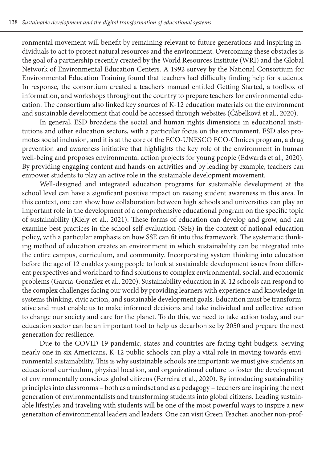ronmental movement will benefit by remaining relevant to future generations and inspiring individuals to act to protect natural resources and the environment. Overcoming these obstacles is the goal of a partnership recently created by the World Resources Institute (WRI) and the Global Network of Environmental Education Centers. A 1992 survey by the National Consortium for Environmental Education Training found that teachers had difficulty finding help for students. In response, the consortium created a teacher's manual entitled Getting Started, a toolbox of information, and workshops throughout the country to prepare teachers for environmental education. The consortium also linked key sources of K-12 education materials on the environment and sustainable development that could be accessed through websites (Čábelková et al., 2020).

In general, ESD broadens the social and human rights dimensions in educational institutions and other education sectors, with a particular focus on the environment. ESD also promotes social inclusion, and it is at the core of the ECO-UNESCO ECO-Choices program, a drug prevention and awareness initiative that highlights the key role of the environment in human well-being and proposes environmental action projects for young people (Edwards et al., 2020). By providing engaging content and hands-on activities and by leading by example, teachers can empower students to play an active role in the sustainable development movement.

Well-designed and integrated education programs for sustainable development at the school level can have a significant positive impact on raising student awareness in this area. In this context, one can show how collaboration between high schools and universities can play an important role in the development of a comprehensive educational program on the specific topic of sustainability (Kiely et al., 2021). These forms of education can develop and grow, and can examine best practices in the school self-evaluation (SSE) in the context of national education policy, with a particular emphasis on how SSE can fit into this framework. The systematic thinking method of education creates an environment in which sustainability can be integrated into the entire campus, curriculum, and community. Incorporating system thinking into education before the age of 12 enables young people to look at sustainable development issues from different perspectives and work hard to find solutions to complex environmental, social, and economic problems (García-González et al., 2020). Sustainability education in K-12 schools can respond to the complex challenges facing our world by providing learners with experience and knowledge in systems thinking, civic action, and sustainable development goals. Education must be transformative and must enable us to make informed decisions and take individual and collective action to change our society and care for the planet. To do this, we need to take action today, and our education sector can be an important tool to help us decarbonize by 2050 and prepare the next generation for resilience.

Due to the COVID-19 pandemic, states and countries are facing tight budgets. Serving nearly one in six Americans, K-12 public schools can play a vital role in moving towards environmental sustainability. This is why sustainable schools are important; we must give students an educational curriculum, physical location, and organizational culture to foster the development of environmentally conscious global citizens (Ferreira et al., 2020). By introducing sustainability principles into classrooms – both as a mindset and as a pedagogy – teachers are inspiring the next generation of environmentalists and transforming students into global citizens. Leading sustainable lifestyles and traveling with students will be one of the most powerful ways to inspire a new generation of environmental leaders and leaders. One can visit Green Teacher, another non-prof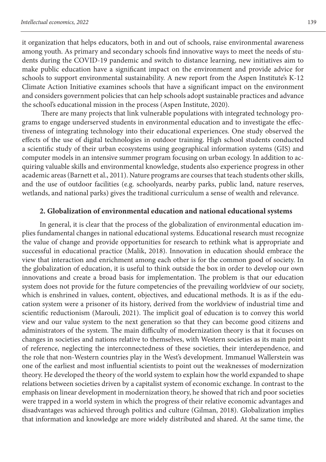it organization that helps educators, both in and out of schools, raise environmental awareness among youth. As primary and secondary schools find innovative ways to meet the needs of students during the COVID-19 pandemic and switch to distance learning, new initiatives aim to make public education have a significant impact on the environment and provide advice for schools to support environmental sustainability. A new report from the Aspen Institute's K-12 Climate Action Initiative examines schools that have a significant impact on the environment and considers government policies that can help schools adopt sustainable practices and advance the school's educational mission in the process (Aspen Institute, 2020).

 There are many projects that link vulnerable populations with integrated technology programs to engage underserved students in environmental education and to investigate the effectiveness of integrating technology into their educational experiences. One study observed the effects of the use of digital technologies in outdoor training. High school students conducted a scientific study of their urban ecosystems using geographical information systems (GIS) and computer models in an intensive summer program focusing on urban ecology. In addition to acquiring valuable skills and environmental knowledge, students also experience progress in other academic areas (Barnett et al., 2011). Nature programs are courses that teach students other skills, and the use of outdoor facilities (e.g. schoolyards, nearby parks, public land, nature reserves, wetlands, and national parks) gives the traditional curriculum a sense of wealth and relevance.

## **2. Globalization of environmental education and national educational systems**

In general, it is clear that the process of the globalization of environmental education implies fundamental changes in national educational systems. Educational research must recognize the value of change and provide opportunities for research to rethink what is appropriate and successful in educational practice (Malik, 2018). Innovation in education should embrace the view that interaction and enrichment among each other is for the common good of society. In the globalization of education, it is useful to think outside the box in order to develop our own innovations and create a broad basis for implementation. The problem is that our education system does not provide for the future competencies of the prevailing worldview of our society, which is enshrined in values, content, objectives, and educational methods. It is as if the education system were a prisoner of its history, derived from the worldview of industrial time and scientific reductionism (Marouli, 2021). The implicit goal of education is to convey this world view and our value system to the next generation so that they can become good citizens and administrators of the system. The main difficulty of modernization theory is that it focuses on changes in societies and nations relative to themselves, with Western societies as its main point of reference, neglecting the interconnectedness of these societies, their interdependence, and the role that non-Western countries play in the West's development. Immanuel Wallerstein was one of the earliest and most influential scientists to point out the weaknesses of modernization theory. He developed the theory of the world system to explain how the world expanded to shape relations between societies driven by a capitalist system of economic exchange. In contrast to the emphasis on linear development in modernization theory, he showed that rich and poor societies were trapped in a world system in which the progress of their relative economic advantages and disadvantages was achieved through politics and culture (Gilman, 2018). Globalization implies that information and knowledge are more widely distributed and shared. At the same time, the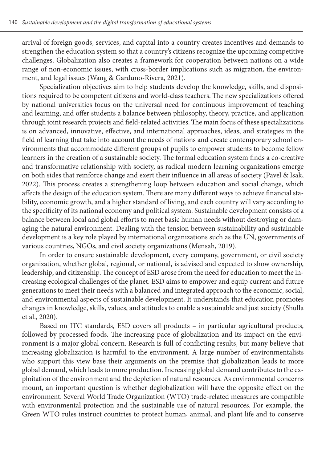arrival of foreign goods, services, and capital into a country creates incentives and demands to strengthen the education system so that a country's citizens recognize the upcoming competitive challenges. Globalization also creates a framework for cooperation between nations on a wide range of non-economic issues, with cross-border implications such as migration, the environment, and legal issues (Wang & Garduno-Rivera, 2021).

Specialization objectives aim to help students develop the knowledge, skills, and dispositions required to be competent citizens and world-class teachers. The new specializations offered by national universities focus on the universal need for continuous improvement of teaching and learning, and offer students a balance between philosophy, theory, practice, and application through joint research projects and field-related activities. The main focus of these specializations is on advanced, innovative, effective, and international approaches, ideas, and strategies in the field of learning that take into account the needs of nations and create contemporary school environments that accommodate different groups of pupils to empower students to become fellow learners in the creation of a sustainable society. The formal education system finds a co-creative and transformative relationship with society, as radical modern learning organizations emerge on both sides that reinforce change and exert their influence in all areas of society (Pavel & Isak, 2022). This process creates a strengthening loop between education and social change, which affects the design of the education system. There are many different ways to achieve financial stability, economic growth, and a higher standard of living, and each country will vary according to the specificity of its national economy and political system. Sustainable development consists of a balance between local and global efforts to meet basic human needs without destroying or damaging the natural environment. Dealing with the tension between sustainability and sustainable development is a key role played by international organizations such as the UN, governments of various countries, NGOs, and civil society organizations (Mensah, 2019).

In order to ensure sustainable development, every company, government, or civil society organization, whether global, regional, or national, is advised and expected to show ownership, leadership, and citizenship. The concept of ESD arose from the need for education to meet the increasing ecological challenges of the planet. ESD aims to empower and equip current and future generations to meet their needs with a balanced and integrated approach to the economic, social, and environmental aspects of sustainable development. It understands that education promotes changes in knowledge, skills, values, and attitudes to enable a sustainable and just society (Shulla et al., 2020).

Based on ITC standards, ESD covers all products – in particular agricultural products, followed by processed foods. The increasing pace of globalization and its impact on the environment is a major global concern. Research is full of conflicting results, but many believe that increasing globalization is harmful to the environment. A large number of environmentalists who support this view base their arguments on the premise that globalization leads to more global demand, which leads to more production. Increasing global demand contributes to the exploitation of the environment and the depletion of natural resources. As environmental concerns mount, an important question is whether deglobalization will have the opposite effect on the environment. Several World Trade Organization (WTO) trade-related measures are compatible with environmental protection and the sustainable use of natural resources. For example, the Green WTO rules instruct countries to protect human, animal, and plant life and to conserve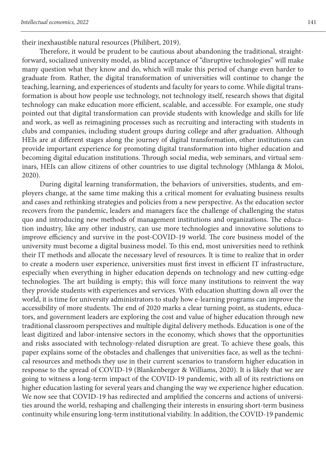their inexhaustible natural resources (Philibert, 2019).

Therefore, it would be prudent to be cautious about abandoning the traditional, straightforward, socialized university model, as blind acceptance of "disruptive technologies" will make many question what they know and do, which will make this period of change even harder to graduate from. Rather, the digital transformation of universities will continue to change the teaching, learning, and experiences of students and faculty for years to come. While digital transformation is about how people use technology, not technology itself, research shows that digital technology can make education more efficient, scalable, and accessible. For example, one study pointed out that digital transformation can provide students with knowledge and skills for life and work, as well as reimagining processes such as recruiting and interacting with students in clubs and companies, including student groups during college and after graduation. Although HEIs are at different stages along the journey of digital transformation, other institutions can provide important experience for promoting digital transformation into higher education and becoming digital education institutions. Through social media, web seminars, and virtual seminars, HEIs can allow citizens of other countries to use digital technology (Mhlanga & Moloi, 2020).

During digital learning transformation, the behaviors of universities, students, and employers change, at the same time making this a critical moment for evaluating business results and cases and rethinking strategies and policies from a new perspective. As the education sector recovers from the pandemic, leaders and managers face the challenge of challenging the status quo and introducing new methods of management institutions and organizations. The education industry, like any other industry, can use more technologies and innovative solutions to improve efficiency and survive in the post-COVID-19 world. The core business model of the university must become a digital business model. To this end, most universities need to rethink their IT methods and allocate the necessary level of resources. It is time to realize that in order to create a modern user experience, universities must first invest in efficient IT infrastructure, especially when everything in higher education depends on technology and new cutting-edge technologies. The art building is empty; this will force many institutions to reinvent the way they provide students with experiences and services. With education shutting down all over the world, it is time for university administrators to study how e-learning programs can improve the accessibility of more students. The end of 2020 marks a clear turning point, as students, educators, and government leaders are exploring the cost and value of higher education through new traditional classroom perspectives and multiple digital delivery methods. Education is one of the least digitized and labor-intensive sectors in the economy, which shows that the opportunities and risks associated with technology-related disruption are great. To achieve these goals, this paper explains some of the obstacles and challenges that universities face, as well as the technical resources and methods they use in their current scenarios to transform higher education in response to the spread of COVID-19 (Blankenberger & Williams, 2020). It is likely that we are going to witness a long-term impact of the COVID-19 pandemic, with all of its restrictions on higher education lasting for several years and changing the way we experience higher education. We now see that COVID-19 has redirected and amplified the concerns and actions of universities around the world, reshaping and challenging their interests in ensuring short-term business continuity while ensuring long-term institutional viability. In addition, the COVID-19 pandemic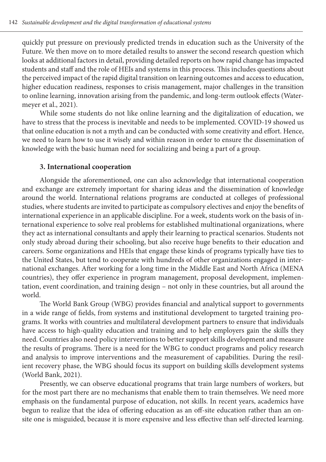quickly put pressure on previously predicted trends in education such as the University of the Future. We then move on to more detailed results to answer the second research question which looks at additional factors in detail, providing detailed reports on how rapid change has impacted students and staff and the role of HEIs and systems in this process. This includes questions about the perceived impact of the rapid digital transition on learning outcomes and access to education, higher education readiness, responses to crisis management, major challenges in the transition to online learning, innovation arising from the pandemic, and long-term outlook effects (Watermeyer et al., 2021).

While some students do not like online learning and the digitalization of education, we have to stress that the process is inevitable and needs to be implemented. COVID-19 showed us that online education is not a myth and can be conducted with some creativity and effort. Hence, we need to learn how to use it wisely and within reason in order to ensure the dissemination of knowledge with the basic human need for socializing and being a part of a group.

### **3. International cooperation**

Alongside the aforementioned, one can also acknowledge that international cooperation and exchange are extremely important for sharing ideas and the dissemination of knowledge around the world. International relations programs are conducted at colleges of professional studies, where students are invited to participate as compulsory electives and enjoy the benefits of international experience in an applicable discipline. For a week, students work on the basis of international experience to solve real problems for established multinational organizations, where they act as international consultants and apply their learning to practical scenarios. Students not only study abroad during their schooling, but also receive huge benefits to their education and careers. Some organizations and HEIs that engage these kinds of programs typically have ties to the United States, but tend to cooperate with hundreds of other organizations engaged in international exchanges. After working for a long time in the Middle East and North Africa (MENA countries), they offer experience in program management, proposal development, implementation, event coordination, and training design – not only in these countries, but all around the world.

The World Bank Group (WBG) provides financial and analytical support to governments in a wide range of fields, from systems and institutional development to targeted training programs. It works with countries and multilateral development partners to ensure that individuals have access to high-quality education and training and to help employers gain the skills they need. Countries also need policy interventions to better support skills development and measure the results of programs. There is a need for the WBG to conduct programs and policy research and analysis to improve interventions and the measurement of capabilities. During the resilient recovery phase, the WBG should focus its support on building skills development systems (World Bank, 2021).

Presently, we can observe educational programs that train large numbers of workers, but for the most part there are no mechanisms that enable them to train themselves. We need more emphasis on the fundamental purpose of education, not skills. In recent years, academics have begun to realize that the idea of offering education as an off-site education rather than an onsite one is misguided, because it is more expensive and less effective than self-directed learning.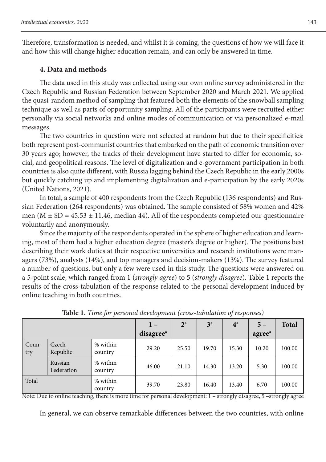Therefore, transformation is needed, and whilst it is coming, the questions of how we will face it and how this will change higher education remain, and can only be answered in time.

## **4. Data and methods**

The data used in this study was collected using our own online survey administered in the Czech Republic and Russian Federation between September 2020 and March 2021. We applied the quasi-random method of sampling that featured both the elements of the snowball sampling technique as well as parts of opportunity sampling. All of the participants were recruited either personally via social networks and online modes of communication or via personalized e-mail messages.

The two countries in question were not selected at random but due to their specificities: both represent post-communist countries that embarked on the path of economic transition over 30 years ago; however, the tracks of their development have started to differ for economic, social, and geopolitical reasons. The level of digitalization and e-government participation in both countries is also quite different, with Russia lagging behind the Czech Republic in the early 2000s but quickly catching up and implementing digitalization and e-participation by the early 2020s (United Nations, 2021).

In total, a sample of 400 respondents from the Czech Republic (136 respondents) and Russian Federation (264 respondents) was obtained. The sample consisted of 58% women and 42% men ( $M \pm SD = 45.53 \pm 11.46$ , median 44). All of the respondents completed our questionnaire voluntarily and anonymously.

Since the majority of the respondents operated in the sphere of higher education and learning, most of them had a higher education degree (master's degree or higher). The positions best describing their work duties at their respective universities and research institutions were managers (73%), analysts (14%), and top managers and decision-makers (13%). The survey featured a number of questions, but only a few were used in this study. The questions were answered on a 5-point scale, which ranged from 1 (*strongly agree*) to 5 (*strongly disagree*). Table 1 reports the results of the cross-tabulation of the response related to the personal development induced by online teaching in both countries.

|                |                       |                     | $1 -$                 | $2^{\mathrm{a}}$ | 3 <sup>a</sup> | $4^a$ | $5 -$              | <b>Total</b> |  |
|----------------|-----------------------|---------------------|-----------------------|------------------|----------------|-------|--------------------|--------------|--|
|                |                       |                     | disagree <sup>a</sup> |                  |                |       | agree <sup>a</sup> |              |  |
| $Coun-$<br>try | Czech<br>Republic     | % within<br>country | 29.20                 | 25.50            | 19.70          | 15.30 | 10.20              | 100.00       |  |
|                | Russian<br>Federation | % within<br>country | 46.00                 | 21.10            | 14.30          | 13.20 | 5.30               | 100.00       |  |
| Total          |                       | % within<br>country | 39.70                 | 23.80            | 16.40          | 13.40 | 6.70               | 100.00       |  |

**Table 1.** *Time for personal development (cross-tabulation of responses)*

Note: Due to online teaching, there is more time for personal development: 1 – strongly disagree, 5 –strongly agree

In general, we can observe remarkable differences between the two countries, with online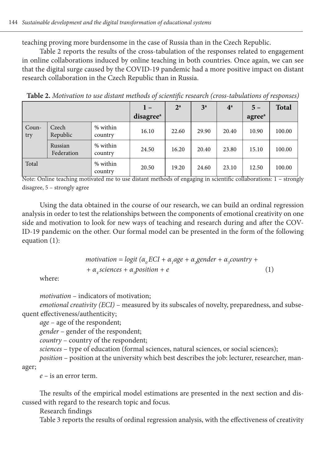teaching proving more burdensome in the case of Russia than in the Czech Republic.

Table 2 reports the results of the cross-tabulation of the responses related to engagement in online collaborations induced by online teaching in both countries. Once again, we can see that the digital surge caused by the COVID-19 pandemic had a more positive impact on distant research collaboration in the Czech Republic than in Russia.

|              |                       |                     | $1 -$                 | $2^{\rm a}$ | 3 <sup>a</sup> | $4^{\mathrm{a}}$ | $5 -$              | <b>Total</b> |
|--------------|-----------------------|---------------------|-----------------------|-------------|----------------|------------------|--------------------|--------------|
|              |                       |                     | disagree <sup>a</sup> |             |                |                  | agree <sup>a</sup> |              |
| Coun-<br>try | Czech<br>Republic     | % within<br>country | 16.10                 | 22.60       | 29.90          | 20.40            | 10.90              | 100.00       |
|              | Russian<br>Federation | % within<br>country | 24.50                 | 16.20       | 20.40          | 23.80            | 15.10              | 100.00       |
| Total        |                       | % within<br>country | 20.50                 | 19.20       | 24.60          | 23.10            | 12.50              | 100.00       |

**Table 2.** *Motivation to use distant methods of scientific research (cross-tabulations of responses)*

Note: Online teaching motivated me to use distant methods of engaging in scientific collaborations: 1 – strongly disagree, 5 – strongly agree

Using the data obtained in the course of our research, we can build an ordinal regression analysis in order to test the relationships between the components of emotional creativity on one side and motivation to look for new ways of teaching and research during and after the COV-ID-19 pandemic on the other. Our formal model can be presented in the form of the following equation (1):

$$
motion = logit (\alpha_0 ECI + \alpha_1 age + \alpha_2 gender + \alpha_3 country ++ \alpha_4 sciences + \alpha_5 position + e
$$
 (1)

where:

*motivation* – indicators of motivation;

*emotional creativity (ECI)* – measured by its subscales of novelty, preparedness, and subsequent effectiveness/authenticity;

*age* – age of the respondent;

*gender* – gender of the respondent;

*country* – country of the respondent;

*sciences* – type of education (formal sciences, natural sciences, or social sciences);

*position* – position at the university which best describes the job: lecturer, researcher, manager;

*e* – is an error term.

The results of the empirical model estimations are presented in the next section and discussed with regard to the research topic and focus.

Research findings

Table 3 reports the results of ordinal regression analysis, with the effectiveness of creativity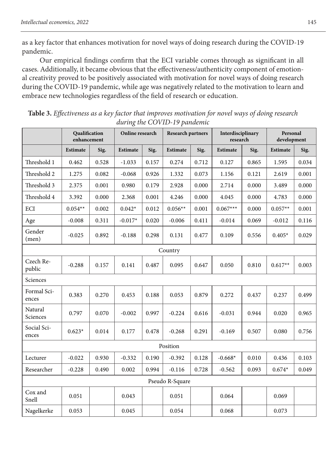as a key factor that enhances motivation for novel ways of doing research during the COVID-19 pandemic.

Our empirical findings confirm that the ECI variable comes through as significant in all cases. Additionally, it became obvious that the effectiveness/authenticity component of emotional creativity proved to be positively associated with motivation for novel ways of doing research during the COVID-19 pandemic, while age was negatively related to the motivation to learn and embrace new technologies regardless of the field of research or education.

|                      | Qualification<br>enhancement |       | Online research |       | <b>Research partners</b> |       | Interdisciplinary<br>research |       | Personal<br>development |       |  |
|----------------------|------------------------------|-------|-----------------|-------|--------------------------|-------|-------------------------------|-------|-------------------------|-------|--|
|                      | Estimate                     | Sig.  | Estimate        | Sig.  | <b>Estimate</b>          | Sig.  | <b>Estimate</b>               | Sig.  | Estimate                | Sig.  |  |
| Threshold 1          | 0.462                        | 0.528 | $-1.033$        | 0.157 | 0.274                    | 0.712 | 0.127                         | 0.865 | 1.595                   | 0.034 |  |
| Threshold 2          | 1.275                        | 0.082 | $-0.068$        | 0.926 | 1.332                    | 0.073 | 1.156                         | 0.121 | 2.619                   | 0.001 |  |
| Threshold 3          | 2.375                        | 0.001 | 0.980           | 0.179 | 2.928                    | 0.000 | 2.714                         | 0.000 | 3.489                   | 0.000 |  |
| Threshold 4          | 3.392                        | 0.000 | 2.368           | 0.001 | 4.246                    | 0.000 | 4.045                         | 0.000 | 4.783                   | 0.000 |  |
| ECI                  | $0.054**$                    | 0.002 | $0.042*$        | 0.012 | $0.056**$                | 0.001 | $0.067***$                    | 0.000 | $0.057**$               | 0.001 |  |
| Age                  | $-0.008$                     | 0.311 | $-0.017*$       | 0.020 | $-0.006$                 | 0.411 | $-0.014$                      | 0.069 | $-0.012$                | 0.116 |  |
| Gender<br>(men)      | $-0.025$                     | 0.892 | $-0.188$        | 0.298 | 0.131                    | 0.477 | 0.109                         | 0.556 | $0.405*$                | 0.029 |  |
| Country              |                              |       |                 |       |                          |       |                               |       |                         |       |  |
| Czech Re-<br>public  | $-0.288$                     | 0.157 | 0.141           | 0.487 | 0.095                    | 0.647 | 0.050                         | 0.810 | $0.617**$               | 0.003 |  |
| Sciences             |                              |       |                 |       |                          |       |                               |       |                         |       |  |
| Formal Sci-<br>ences | 0.383                        | 0.270 | 0.453           | 0.188 | 0.053                    | 0.879 | 0.272                         | 0.437 | 0.237                   | 0.499 |  |
| Natural<br>Sciences  | 0.797                        | 0.070 | $-0.002$        | 0.997 | $-0.224$                 | 0.616 | $-0.031$                      | 0.944 | 0.020                   | 0.965 |  |
| Social Sci-<br>ences | $0.623*$                     | 0.014 | 0.177           | 0.478 | $-0.268$                 | 0.291 | $-0.169$                      | 0.507 | 0.080                   | 0.756 |  |
|                      |                              |       |                 |       | Position                 |       |                               |       |                         |       |  |
| Lecturer             | $-0.022$                     | 0.930 | $-0.332$        | 0.190 | $-0.392$                 | 0.128 | $-0.668*$                     | 0.010 | 0.436                   | 0.103 |  |
| Researcher           | $-0.228$                     | 0.490 | 0.002           | 0.994 | $-0.116$                 | 0.728 | $-0.562$                      | 0.093 | $0.674*$                | 0.049 |  |
| Pseudo R-Square      |                              |       |                 |       |                          |       |                               |       |                         |       |  |
| Cox and<br>Snell     | 0.051                        |       | 0.043           |       | 0.051                    |       | 0.064                         |       | 0.069                   |       |  |
| Nagelkerke           | 0.053                        |       | 0.045           |       | 0.054                    |       | 0.068                         |       | 0.073                   |       |  |

**Table 3.** *Effectiveness as a key factor that improves motivation for novel ways of doing research during the COVID-19 pandemic*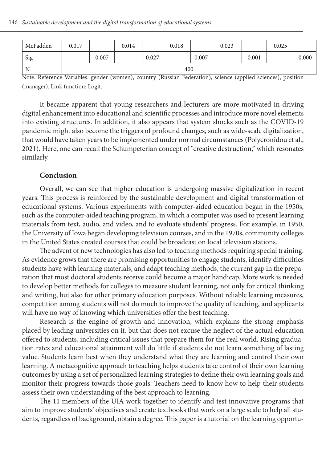| McFadden | 0.017 |       | 0.014 |       | 0.018 |       | 0.023 |       | 0.025 |       |
|----------|-------|-------|-------|-------|-------|-------|-------|-------|-------|-------|
| Sig      |       | 0.007 |       | 0.027 |       | 0.007 |       | 0.001 |       | 0.000 |
| N        | 400   |       |       |       |       |       |       |       |       |       |

Note: Reference Variables: gender (women), country (Russian Federation), science (applied sciences), position (manager). Link function: Logit.

It became apparent that young researchers and lecturers are more motivated in driving digital enhancement into educational and scientific processes and introduce more novel elements into existing structures. In addition, it also appears that system shocks such as the COVID-19 pandemic might also become the triggers of profound changes, such as wide-scale digitalization, that would have taken years to be implemented under normal circumstances (Polycronidou et al., 2021). Here, one can recall the Schumpeterian concept of "creative destruction," which resonates similarly.

#### **Conclusion**

Overall, we can see that higher education is undergoing massive digitalization in recent years. This process is reinforced by the sustainable development and digital transformation of educational systems. Various experiments with computer-aided education began in the 1950s, such as the computer-aided teaching program, in which a computer was used to present learning materials from text, audio, and video, and to evaluate students' progress. For example, in 1950, the University of Iowa began developing television courses, and in the 1970s, community colleges in the United States created courses that could be broadcast on local television stations.

The advent of new technologies has also led to teaching methods requiring special training. As evidence grows that there are promising opportunities to engage students, identify difficulties students have with learning materials, and adapt teaching methods, the current gap in the preparation that most doctoral students receive could become a major handicap. More work is needed to develop better methods for colleges to measure student learning, not only for critical thinking and writing, but also for other primary education purposes. Without reliable learning measures, competition among students will not do much to improve the quality of teaching, and applicants will have no way of knowing which universities offer the best teaching.

Research is the engine of growth and innovation, which explains the strong emphasis placed by leading universities on it, but that does not excuse the neglect of the actual education offered to students, including critical issues that prepare them for the real world. Rising graduation rates and educational attainment will do little if students do not learn something of lasting value. Students learn best when they understand what they are learning and control their own learning. A metacognitive approach to teaching helps students take control of their own learning outcomes by using a set of personalized learning strategies to define their own learning goals and monitor their progress towards those goals. Teachers need to know how to help their students assess their own understanding of the best approach to learning.

The 11 members of the UIA work together to identify and test innovative programs that aim to improve students' objectives and create textbooks that work on a large scale to help all students, regardless of background, obtain a degree. This paper is a tutorial on the learning opportu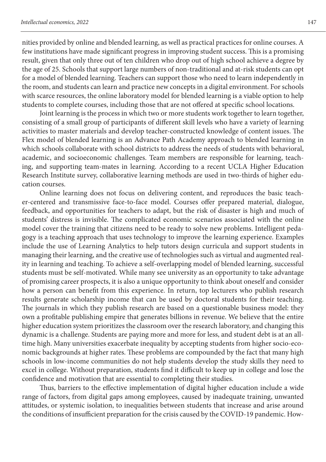nities provided by online and blended learning, as well as practical practices for online courses. A few institutions have made significant progress in improving student success. This is a promising result, given that only three out of ten children who drop out of high school achieve a degree by the age of 25. Schools that support large numbers of non-traditional and at-risk students can opt for a model of blended learning. Teachers can support those who need to learn independently in the room, and students can learn and practice new concepts in a digital environment. For schools with scarce resources, the online laboratory model for blended learning is a viable option to help students to complete courses, including those that are not offered at specific school locations.

Joint learning is the process in which two or more students work together to learn together, consisting of a small group of participants of different skill levels who have a variety of learning activities to master materials and develop teacher-constructed knowledge of content issues. The Flex model of blended learning is an Advance Path Academy approach to blended learning in which schools collaborate with school districts to address the needs of students with behavioral, academic, and socioeconomic challenges. Team members are responsible for learning, teaching, and supporting team-mates in learning. According to a recent UCLA Higher Education Research Institute survey, collaborative learning methods are used in two-thirds of higher education courses.

Online learning does not focus on delivering content, and reproduces the basic teacher-centered and transmissive face-to-face model. Courses offer prepared material, dialogue, feedback, and opportunities for teachers to adapt, but the risk of disaster is high and much of students' distress is invisible. The complicated economic scenarios associated with the online model cover the training that citizens need to be ready to solve new problems. Intelligent pedagogy is a teaching approach that uses technology to improve the learning experience. Examples include the use of Learning Analytics to help tutors design curricula and support students in managing their learning, and the creative use of technologies such as virtual and augmented reality in learning and teaching. To achieve a self-overlapping model of blended learning, successful students must be self-motivated. While many see university as an opportunity to take advantage of promising career prospects, it is also a unique opportunity to think about oneself and consider how a person can benefit from this experience. In return, top lecturers who publish research results generate scholarship income that can be used by doctoral students for their teaching. The journals in which they publish research are based on a questionable business model: they own a profitable publishing empire that generates billions in revenue. We believe that the entire higher education system prioritizes the classroom over the research laboratory, and changing this dynamic is a challenge. Students are paying more and more for less, and student debt is at an alltime high. Many universities exacerbate inequality by accepting students from higher socio-economic backgrounds at higher rates. These problems are compounded by the fact that many high schools in low-income communities do not help students develop the study skills they need to excel in college. Without preparation, students find it difficult to keep up in college and lose the confidence and motivation that are essential to completing their studies.

Thus, barriers to the effective implementation of digital higher education include a wide range of factors, from digital gaps among employees, caused by inadequate training, unwanted attitudes, or systemic isolation, to inequalities between students that increase and arise around the conditions of insufficient preparation for the crisis caused by the COVID-19 pandemic. How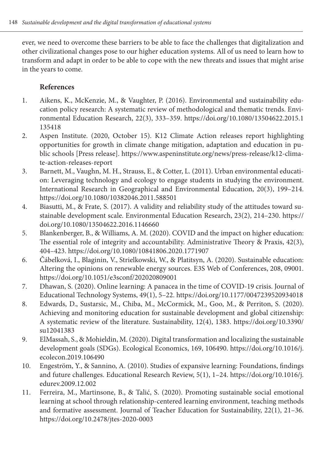ever, we need to overcome these barriers to be able to face the challenges that digitalization and other civilizational changes pose to our higher education systems. All of us need to learn how to transform and adapt in order to be able to cope with the new threats and issues that might arise in the years to come.

# **References**

- 1. Aikens, K., McKenzie, M., & Vaughter, P. (2016). Environmental and sustainability education policy research: A systematic review of methodological and thematic trends. Environmental Education Research, 22(3), 333–359. https://doi.org/10.1080/13504622.2015.1 135418
- 2. Aspen Institute. (2020, October 15). K12 Climate Action releases report highlighting opportunities for growth in climate change mitigation, adaptation and education in public schools [Press release]. https://www.aspeninstitute.org/news/press-release/k12-climate-action-releases-report
- 3. Barnett, M., Vaughn, M. H., Strauss, E., & Cotter, L. (2011). Urban environmental education: Leveraging technology and ecology to engage students in studying the environment. International Research in Geographical and Environmental Education, 20(3), 199–214. https://doi.org/10.1080/10382046.2011.588501
- 4. Biasutti, M., & Frate, S. (2017). A validity and reliability study of the attitudes toward sustainable development scale. Environmental Education Research, 23(2), 214–230. https:// doi.org/10.1080/13504622.2016.1146660
- 5. Blankenberger, B., & Williams, A. M. (2020). COVID and the impact on higher education: The essential role of integrity and accountability. Administrative Theory & Praxis, 42(3), 404–423. https://doi.org/10.1080/10841806.2020.1771907
- 6. Čábelková, I., Blaginin, V., Strielkowski, W., & Platitsyn, A. (2020). Sustainable education: Altering the opinions on renewable energy sources. E3S Web of Conferences, 208, 09001. https://doi.org/10.1051/e3sconf/202020809001
- 7. Dhawan, S. (2020). Online learning: A panacea in the time of COVID-19 crisis. Journal of Educational Technology Systems, 49(1), 5–22. https://doi.org/10.1177/0047239520934018
- 8. Edwards, D., Sustarsic, M., Chiba, M., McCormick, M., Goo, M., & Perriton, S. (2020). Achieving and monitoring education for sustainable development and global citizenship: A systematic review of the literature. Sustainability, 12(4), 1383. https://doi.org/10.3390/ su12041383
- 9. ElMassah, S., & Mohieldin, M. (2020). Digital transformation and localizing the sustainable development goals (SDGs). Ecological Economics, 169, 106490. https://doi.org/10.1016/j. ecolecon.2019.106490
- 10. Engeström, Y., & Sannino, A. (2010). Studies of expansive learning: Foundations, findings and future challenges. Educational Research Review, 5(1), 1–24. https://doi.org/10.1016/j. edurev.2009.12.002
- 11. Ferreira, M., Martinsone, B., & Talić, S. (2020). Promoting sustainable social emotional learning at school through relationship-centered learning environment, teaching methods and formative assessment. Journal of Teacher Education for Sustainability, 22(1), 21–36. https://doi.org/10.2478/jtes-2020-0003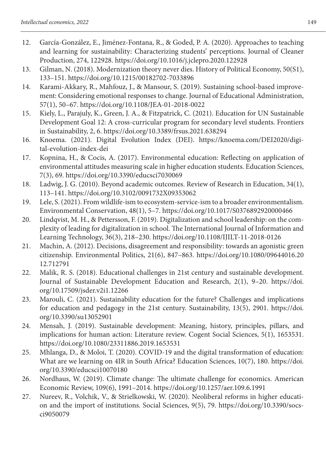- 12. García-González, E., Jiménez-Fontana, R., & Goded, P. A. (2020). Approaches to teaching and learning for sustainability: Characterizing students' perceptions. Journal of Cleaner Production, 274, 122928. https://doi.org/10.1016/j.jclepro.2020.122928
- 13. Gilman, N. (2018). Modernization theory never dies. History of Political Economy, 50(S1), 133–151. https://doi.org/10.1215/00182702-7033896
- 14. Karami-Akkary, R., Mahfouz, J., & Mansour, S. (2019). Sustaining school-based improvement: Considering emotional responses to change. Journal of Educational Administration, 57(1), 50–67. https://doi.org/10.1108/JEA-01-2018-0022
- 15. Kiely, L., Parajuly, K., Green, J. A., & Fitzpatrick, C. (2021). Education for UN Sustainable Development Goal 12: A cross-curricular program for secondary level students. Frontiers in Sustainability, 2, 6. https://doi.org/10.3389/frsus.2021.638294
- 16. Knoema. (2021). Digital Evolution Index (DEI). https://knoema.com/DEI2020/digital-evolution-index-dei
- 17. Kopnina, H., & Cocis, A. (2017). Environmental education: Reflecting on application of environmental attitudes measuring scale in higher education students. Education Sciences, 7(3), 69. https://doi.org/10.3390/educsci7030069
- 18. Ladwig, J. G. (2010). Beyond academic outcomes. Review of Research in Education, 34(1), 113–141. https://doi.org/10.3102/0091732X09353062
- 19. Lele, S. (2021). From wildlife-ism to ecosystem-service-ism to a broader environmentalism. Environmental Conservation, 48(1), 5–7. https://doi.org/10.1017/S0376892920000466
- 20. Lindqvist, M. H., & Pettersson, F. (2019). Digitalization and school leadership: on the complexity of leading for digitalization in school. The International Journal of Information and Learning Technology, 36(3), 218–230. https://doi.org/10.1108/IJILT-11-2018-0126
- 21. Machin, A. (2012). Decisions, disagreement and responsibility: towards an agonistic green citizenship. Environmental Politics, 21(6), 847–863. https://doi.org/10.1080/09644016.20 12.712791
- 22. Malik, R. S. (2018). Educational challenges in 21st century and sustainable development. Journal of Sustainable Development Education and Research, 2(1), 9–20. https://doi. org/10.17509/jsder.v2i1.12266
- 23. Marouli, C. (2021). Sustainability education for the future? Challenges and implications for education and pedagogy in the 21st century. Sustainability, 13(5), 2901. https://doi. org/10.3390/su13052901
- 24. Mensah, J. (2019). Sustainable development: Meaning, history, principles, pillars, and implications for human action: Literature review. Cogent Social Sciences, 5(1), 1653531. https://doi.org/10.1080/23311886.2019.1653531
- 25. Mhlanga, D., & Moloi, T. (2020). COVID-19 and the digital transformation of education: What are we learning on 4IR in South Africa? Education Sciences, 10(7), 180. https://doi. org/10.3390/educsci10070180
- 26. Nordhaus, W. (2019). Climate change: The ultimate challenge for economics. American Economic Review, 109(6), 1991–2014. https://doi.org/10.1257/aer.109.6.1991
- 27. Nureev, R., Volchik, V., & Strielkowski, W. (2020). Neoliberal reforms in higher education and the import of institutions. Social Sciences, 9(5), 79. https://doi.org/10.3390/socsci9050079